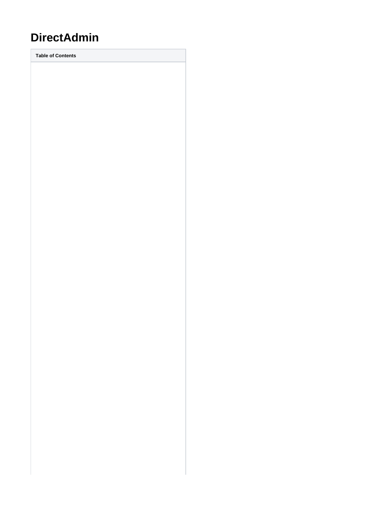# **DirectAdmin**

**Table of Contents**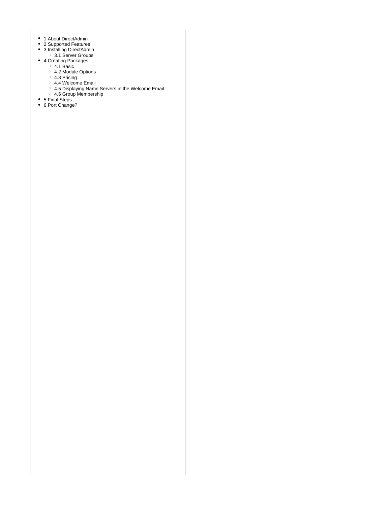- 1 [About DirectAdmin](#page-3-0)
- 2 [Supported Features](#page-3-1)
- 3 [Installing DirectAdmin](#page-3-2)
- 3.1 [Server Groups](#page-4-0)
- 4 [Creating Packages](#page-5-0) 4.1 [Basic](#page-5-1)
- 4.2 [Module Options](#page-5-2)
- 4.3 [Pricing](#page-6-0)
- 4.4 [Welcome Email](#page-6-1)
- 4.5 [Displaying Name Servers in the Welcome Email](#page-7-0)
- 4.6 [Group Membership](#page-8-0)
- 5 [Final Steps](#page-8-1)
- 6 [Port Change?](#page-8-2)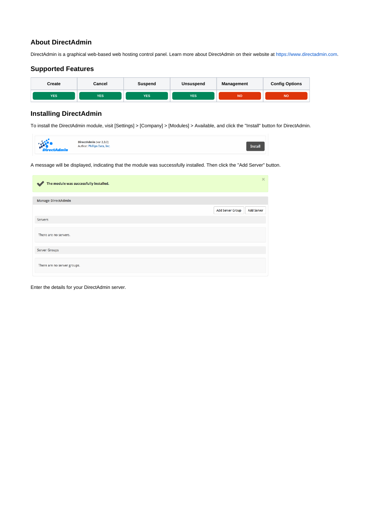## <span id="page-3-0"></span>**About DirectAdmin**

DirectAdmin is a graphical web-based web hosting control panel. Learn more about DirectAdmin on their website at<https://www.directadmin.com>.

## **Supported Features**

<span id="page-3-1"></span>

# <span id="page-3-2"></span>**Installing DirectAdmin**

To install the DirectAdmin module, visit [Settings] > [Company] > [Modules] > Available, and click the "Install" button for DirectAdmin.

| <b>ANGEL</b><br>DirectAdmin (ver 2.3.0)<br>Author: Phillips Data, Inc.<br><b>ctAdmin</b> | <b>Install</b> |
|------------------------------------------------------------------------------------------|----------------|
|------------------------------------------------------------------------------------------|----------------|

A message will be displayed, indicating that the module was successfully installed. Then click the "Add Server" button.

| The module was successfully installed.<br>$\ddot{\phantom{a}}$ | $\boldsymbol{\times}$                 |
|----------------------------------------------------------------|---------------------------------------|
|                                                                |                                       |
| <b>Manage DirectAdmin</b>                                      |                                       |
|                                                                | Add Server Group<br><b>Add Server</b> |
| Servers                                                        |                                       |
|                                                                |                                       |
| There are no servers.                                          |                                       |
|                                                                |                                       |
| Server Groups                                                  |                                       |
| There are no server groups.                                    |                                       |

Enter the details for your DirectAdmin server.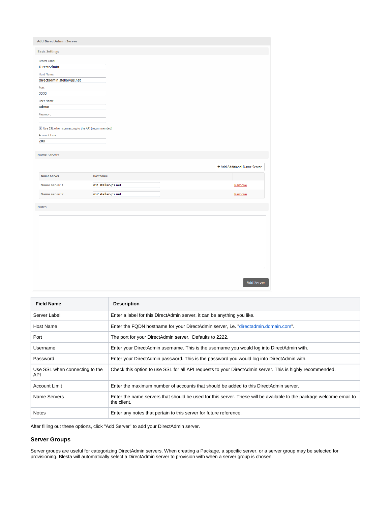| <b>Add DirectAdmin Server</b>                                                                                                                                                                                                            |                                                             |                                                  |
|------------------------------------------------------------------------------------------------------------------------------------------------------------------------------------------------------------------------------------------|-------------------------------------------------------------|--------------------------------------------------|
| <b>Basic Settings</b>                                                                                                                                                                                                                    |                                                             |                                                  |
| Server Label<br><b>DirectAdmin</b><br><b>Host Name</b><br>directadmin.stellarvps.net<br>Port<br>2222<br><b>User Name</b><br>admin<br>Password<br>$\blacksquare$ Use SSL when connecting to the API (recommended)<br><b>Account Limit</b> |                                                             |                                                  |
| 200                                                                                                                                                                                                                                      |                                                             |                                                  |
| <b>Name Servers</b><br><b>Name Server</b><br>Name server 1<br>Name server 2                                                                                                                                                              | <b>Hostname</b><br>ns1.stellarvps.net<br>ns2.stellarvps.net | + Add Additional Name Server<br>Remove<br>Remove |
| <b>Notes</b>                                                                                                                                                                                                                             |                                                             |                                                  |
|                                                                                                                                                                                                                                          |                                                             |                                                  |

| <b>Field Name</b>                     | <b>Description</b>                                                                                                                 |
|---------------------------------------|------------------------------------------------------------------------------------------------------------------------------------|
| Server Label                          | Enter a label for this DirectAdmin server, it can be anything you like.                                                            |
| Host Name                             | Enter the FQDN hostname for your DirectAdmin server, i.e. "directadmin.domain.com".                                                |
| Port                                  | The port for your DirectAdmin server. Defaults to 2222.                                                                            |
| Username                              | Enter your DirectAdmin username. This is the username you would log into DirectAdmin with.                                         |
| Password                              | Enter your DirectAdmin password. This is the password you would log into DirectAdmin with.                                         |
| Use SSL when connecting to the<br>API | Check this option to use SSL for all API requests to your DirectAdmin server. This is highly recommended.                          |
| Account Limit                         | Enter the maximum number of accounts that should be added to this DirectAdmin server.                                              |
| Name Servers                          | Enter the name servers that should be used for this server. These will be available to the package welcome email to<br>the client. |
| <b>Notes</b>                          | Enter any notes that pertain to this server for future reference.                                                                  |

After filling out these options, click "Add Server" to add your DirectAdmin server.

### <span id="page-4-0"></span>**Server Groups**

Server groups are useful for categorizing DirectAdmin servers. When creating a Package, a specific server, or a server group may be selected for provisioning. Blesta will automatically select a DirectAdmin server to provision with when a server group is chosen.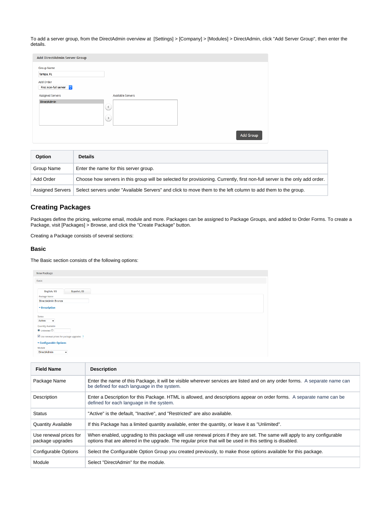To add a server group, from the DirectAdmin overview at [Settings] > [Company] > [Modules] > DirectAdmin, click "Add Server Group", then enter the details.

| Add DirectAdmin Server Group |                   |                  |
|------------------------------|-------------------|------------------|
| Group Name                   |                   |                  |
| Tampa, FL                    |                   |                  |
| Add Order                    |                   |                  |
| First non-full server C      |                   |                  |
| <b>Assigned Servers</b>      | Available Servers |                  |
| DirectAdmin                  |                   |                  |
|                              | $(\mathbf{K})$    |                  |
|                              | $\rightarrow$     |                  |
|                              |                   |                  |
|                              |                   |                  |
|                              |                   | <b>Add Group</b> |
|                              |                   |                  |

| Option           | <b>Details</b>                                                                                                              |
|------------------|-----------------------------------------------------------------------------------------------------------------------------|
| Group Name       | Enter the name for this server group.                                                                                       |
| Add Order        | Choose how servers in this group will be selected for provisioning. Currently, first non-full server is the only add order. |
| Assigned Servers | Select servers under "Available Servers" and click to move them to the left column to add them to the group.                |

# <span id="page-5-0"></span>**Creating Packages**

Packages define the pricing, welcome email, module and more. Packages can be assigned to Package Groups, and added to Order Forms. To create a Package, visit [Packages] > Browse, and click the "Create Package" button.

Creating a Package consists of several sections:

#### <span id="page-5-1"></span>**Basic**

The Basic section consists of the following options:

| <b>New Package</b>                        |  |  |
|-------------------------------------------|--|--|
| Basic                                     |  |  |
|                                           |  |  |
| English, US<br><b>Español, ES</b>         |  |  |
| Package Name                              |  |  |
| <b>DirectAdmin Bronze</b>                 |  |  |
| * Description                             |  |  |
| Status                                    |  |  |
| Active<br>$\mathbf{v}$                    |  |  |
| <b>Quantity Available</b>                 |  |  |
| $\odot$ Unlimited $\odot$                 |  |  |
| Use renewal prices for package upgrades ? |  |  |
| * Configurable Options                    |  |  |
| Module                                    |  |  |
| <b>DirectAdmin</b><br>$\bullet$           |  |  |
|                                           |  |  |

<span id="page-5-2"></span>

| <b>Field Name</b>                          | <b>Description</b>                                                                                                                                                                                                                    |
|--------------------------------------------|---------------------------------------------------------------------------------------------------------------------------------------------------------------------------------------------------------------------------------------|
| Package Name                               | Enter the name of this Package, it will be visible wherever services are listed and on any order forms. A separate name can<br>be defined for each language in the system.                                                            |
| Description                                | Enter a Description for this Package. HTML is allowed, and descriptions appear on order forms. A separate name can be<br>defined for each language in the system.                                                                     |
| Status                                     | "Active" is the default, "Inactive", and "Restricted" are also available.                                                                                                                                                             |
| <b>Quantity Available</b>                  | If this Package has a limited quantity available, enter the quantity, or leave it as "Unlimited".                                                                                                                                     |
| Use renewal prices for<br>package upgrades | When enabled, upgrading to this package will use renewal prices if they are set. The same will apply to any configurable<br>options that are altered in the upgrade. The regular price that will be used in this setting is disabled. |
| Configurable Options                       | Select the Configurable Option Group you created previously, to make those options available for this package.                                                                                                                        |
| Module                                     | Select "DirectAdmin" for the module.                                                                                                                                                                                                  |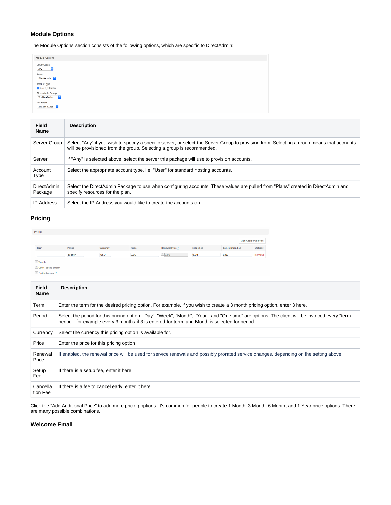### **Module Options**

The Module Options section consists of the following options, which are specific to DirectAdmin:

| <b>Module Options</b>                  |  |  |  |
|----------------------------------------|--|--|--|
| Server Group<br>$ \mathbf{C} $<br>Any  |  |  |  |
| Server<br>DirectAdmin C                |  |  |  |
| Account Type<br>● User ○ Reseller      |  |  |  |
| DirectAdmin Package<br>TestUserPackage |  |  |  |
| IP Address<br>219.248.17.195           |  |  |  |

| Field<br><b>Name</b>   | <b>Description</b>                                                                                                                                                                                                  |
|------------------------|---------------------------------------------------------------------------------------------------------------------------------------------------------------------------------------------------------------------|
| Server Group           | Select "Any" if you wish to specify a specific server, or select the Server Group to provision from. Selecting a group means that accounts<br>will be provisioned from the group. Selecting a group is recommended. |
| Server                 | If "Any" is selected above, select the server this package will use to provision accounts.                                                                                                                          |
| Account<br>Type        | Select the appropriate account type, i.e. "User" for standard hosting accounts.                                                                                                                                     |
| DirectAdmin<br>Package | Select the DirectAdmin Package to use when configuring accounts. These values are pulled from "Plans" created in DirectAdmin and<br>specify resources for the plan.                                                 |
| <b>IP Address</b>      | Select the IP Address you would like to create the accounts on.                                                                                                                                                     |

## <span id="page-6-0"></span>**Pricing**

| Pricing        |                       |          |       |                        |                  |                         |                             |
|----------------|-----------------------|----------|-------|------------------------|------------------|-------------------------|-----------------------------|
|                |                       |          |       |                        |                  |                         | <b>Add Additional Price</b> |
| Term           | Period                | Currency | Price | <b>Renewal Price ?</b> | <b>Setup Fee</b> | <b>Cancellation Fee</b> | <b>Options</b>              |
|                | Month<br>$\mathbf{r}$ | $USD -$  | 0.00  | $\Box$ 0.00            | 0.00             | 0.00                    | Remove                      |
| <b>Taxable</b> |                       |          |       |                        |                  |                         |                             |

Cancel at end of term Enable Pro rata ?

| <b>Field</b><br>Name | <b>Description</b>                                                                                                                                                                                                                                |
|----------------------|---------------------------------------------------------------------------------------------------------------------------------------------------------------------------------------------------------------------------------------------------|
| Term                 | Enter the term for the desired pricing option. For example, if you wish to create a 3 month pricing option, enter 3 here.                                                                                                                         |
| Period               | Select the period for this pricing option. "Day", "Week", "Month", "Year", and "One time" are options. The client will be invoiced every "term<br>period", for example every 3 months if 3 is entered for term, and Month is selected for period. |
| Currency             | Select the currency this pricing option is available for.                                                                                                                                                                                         |
| Price                | Enter the price for this pricing option.                                                                                                                                                                                                          |
| Renewal<br>Price     | If enabled, the renewal price will be used for service renewals and possibly prorated service changes, depending on the setting above.                                                                                                            |
| Setup<br>Fee         | If there is a setup fee, enter it here.                                                                                                                                                                                                           |
| Cancella<br>tion Fee | If there is a fee to cancel early, enter it here.                                                                                                                                                                                                 |

Click the "Add Additional Price" to add more pricing options. It's common for people to create 1 Month, 3 Month, 6 Month, and 1 Year price options. There are many possible combinations.

#### <span id="page-6-1"></span>**Welcome Email**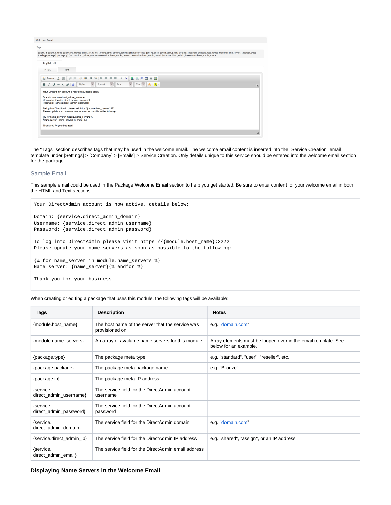| <b>Welcome Email</b>         |                                                                                                                                                                                                                                                                                                                                                                                                                                                                  |  |
|------------------------------|------------------------------------------------------------------------------------------------------------------------------------------------------------------------------------------------------------------------------------------------------------------------------------------------------------------------------------------------------------------------------------------------------------------------------------------------------------------|--|
|                              |                                                                                                                                                                                                                                                                                                                                                                                                                                                                  |  |
|                              | {client.id} {client.id_code} {client.first_name} {client.last_name} {pricing.term} {pricing.period} {pricing.currency} {pricing.price} {pricing.period} {pricing.price} {pricing.period} {pricing.period} {pricing.period} {pr<br>{package.package} {package.ip} {service.direct_admin_username} {service.direct_admin_password} {service.direct_admin_domain} {service.direct_admin_ip} {service.direct_admin_ip} {service.direct_admin_ip} {service.direct_adm |  |
| English, US                  |                                                                                                                                                                                                                                                                                                                                                                                                                                                                  |  |
| <b>HTML</b>                  | Text                                                                                                                                                                                                                                                                                                                                                                                                                                                             |  |
|                              | $\blacksquare$ . T. $\clubsuit$ $\clubsuit$ $\blacksquare$<br>+三 99<br>I B<br><b>SINS</b><br>聿<br>$m - \kappa$<br>з.                                                                                                                                                                                                                                                                                                                                             |  |
| в                            | $\overline{\phantom{a}}$<br>$\overline{\phantom{a}}$<br>$\overline{\phantom{a}}$<br>$Size - A: A$<br>Font<br>Format<br>U ale $X_2$ $X^2$ $\omega$<br>Styles                                                                                                                                                                                                                                                                                                      |  |
|                              | Your DirectAdmin account is now active, details below:                                                                                                                                                                                                                                                                                                                                                                                                           |  |
|                              | Domain: {service.direct_admin_domain}<br>Username: {service.direct admin username}<br>Password: {service.direct admin password}                                                                                                                                                                                                                                                                                                                                  |  |
|                              | To log into DirectAdmin please visit https://{module.host_name}:2222<br>Please update your name servers as soon as possible to the following:                                                                                                                                                                                                                                                                                                                    |  |
|                              | {% for name_server in module.name_servers %}<br>Name server: {name server}/% endfor %}                                                                                                                                                                                                                                                                                                                                                                           |  |
|                              |                                                                                                                                                                                                                                                                                                                                                                                                                                                                  |  |
| Thank you for your business! |                                                                                                                                                                                                                                                                                                                                                                                                                                                                  |  |

The "Tags" section describes tags that may be used in the welcome email. The welcome email content is inserted into the "Service Creation" email template under [Settings] > [Company] > [Emails] > Service Creation. Only details unique to this service should be entered into the welcome email section for the package.

#### Sample Email

This sample email could be used in the Package Welcome Email section to help you get started. Be sure to enter content for your welcome email in both the HTML and Text sections.

```
Your DirectAdmin account is now active, details below:
Domain: {service.direct_admin_domain}
Username: {service.direct_admin_username}
Password: {service.direct_admin_password}
To log into DirectAdmin please visit https://{module.host_name}:2222
Please update your name servers as soon as possible to the following:
{% for name_server in module.name_servers %}
Name server: {name_server}{% endfor %}
Thank you for your business!
```
When creating or editing a package that uses this module, the following tags will be available:

| Tags                                | <b>Description</b>                                                 | <b>Notes</b>                                                                           |
|-------------------------------------|--------------------------------------------------------------------|----------------------------------------------------------------------------------------|
| {module.host_name}                  | The host name of the server that the service was<br>provisioned on | e.g. "domain.com"                                                                      |
| {module.name_servers}               | An array of available name servers for this module                 | Array elements must be looped over in the email template. See<br>below for an example. |
| {package.type}                      | The package meta type                                              | e.g. "standard", "user", "reseller", etc.                                              |
| {package.package}                   | The package meta package name                                      | e.g. "Bronze"                                                                          |
| {package.ip}                        | The package meta IP address                                        |                                                                                        |
| {service.<br>direct_admin_username} | The service field for the DirectAdmin account<br>username          |                                                                                        |
| {service.<br>direct_admin_password} | The service field for the DirectAdmin account<br>password          |                                                                                        |
| {service.<br>direct_admin_domain}   | The service field for the DirectAdmin domain                       | e.g. "domain.com"                                                                      |
| {service.direct_admin_ip}           | The service field for the DirectAdmin IP address                   | e.g. "shared", "assign", or an IP address                                              |
| {service.<br>direct_admin_email}    | The service field for the DirectAdmin email address                |                                                                                        |

#### <span id="page-7-0"></span>**Displaying Name Servers in the Welcome Email**